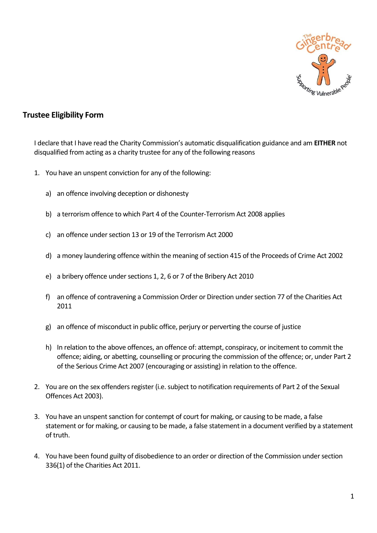

## **Trustee Eligibility Form**

I declare that I have read the Charity Commission's automatic disqualification guidance and am **EITHER** not disqualified from acting as a charity trustee for any of the following reasons

- 1. You have an unspent conviction for any of the following:
	- a) an offence involving deception or dishonesty
	- b) a terrorism offence to which Part 4 of the Counter-Terrorism Act 2008 applies
	- c) an offence under section 13 or 19 of the Terrorism Act 2000
	- d) a money laundering offence within the meaning of section 415 of the Proceeds of Crime Act 2002
	- e) a bribery offence under sections 1, 2, 6 or 7 of the Bribery Act 2010
	- f) an offence of contravening a Commission Order or Direction under section 77 of the Charities Act 2011
	- g) an offence of misconduct in public office, perjury or perverting the course of justice
	- h) In relation to the above offences, an offence of: attempt, conspiracy, or incitement to commit the offence; aiding, or abetting, counselling or procuring the commission of the offence; or, under Part 2 of the Serious Crime Act 2007 (encouraging or assisting) in relation to the offence.
- 2. You are on the sex offenders register (i.e. subject to notification requirements of Part 2 of the Sexual Offences Act 2003).
- 3. You have an unspent sanction for contempt of court for making, or causing to be made, a false statement or for making, or causing to be made, a false statement in a document verified by a statement of truth.
- 4. You have been found guilty of disobedience to an order or direction of the Commission under section 336(1) of the Charities Act 2011.